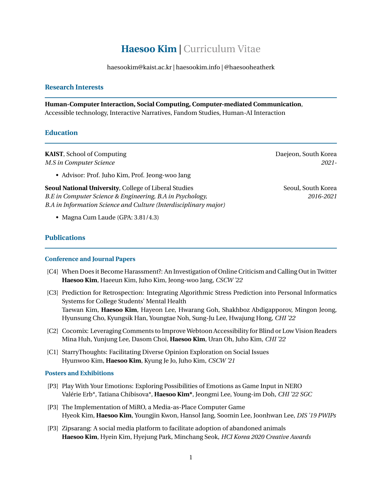# **Haesoo Kim** | Curriculum Vitae

haesookim@kaist.ac.kr | haesookim.info | @haesooheatherk

### <span id="page-0-0"></span>**Research Interests**

**Human-Computer Interaction, Social Computing, Computer-mediated Communication**, Accessible technology, Interactive Narratives, Fandom Studies, Human-AI Interaction

### **Education**

**KAIST**, School of Computing **Computing Computing Computing Computing Computing Computing Computing Computing Computing Computing Computing Computing Computing Computing Computing Computing Computing Computing Computing Co** *M.S in Computer Science 2021-*

• Advisor: Prof. Juho Kim, Prof. Jeong-woo Jang

**Seoul National University**, College of Liberal Studies Seoul, South Korea Seoul, South Korea *B.E in Computer Science & Engineering, B.A in Psychology, 2016-2021 B.A in Information Science and Culture (Interdisciplinary major)*

• Magna Cum Laude (GPA: 3.81/4.3)

### **Publications**

#### **Conference and Journal Papers**

- [C4] When Does it Become Harassment?: An Investigation of Online Criticism and Calling Out in Twitter **Haesoo Kim**, Haeeun Kim, Juho Kim, Jeong-woo Jang, *CSCW '22*
- [C3] Prediction for Retrospection: Integrating Algorithmic Stress Prediction into Personal Informatics Systems for College Students' Mental Health Taewan Kim, **Haesoo Kim**, Hayeon Lee, Hwarang Goh, Shakhboz Abdigapporov, Mingon Jeong, Hyunsung Cho, Kyungsik Han, Youngtae Noh, Sung-Ju Lee, Hwajung Hong, *CHI '22*
- [C2] Cocomix: Leveraging Comments to Improve Webtoon Accessibility for Blind or Low Vision Readers Mina Huh, Yunjung Lee, Dasom Choi, **Haesoo Kim**, Uran Oh, Juho Kim, *CHI '22*
- [C1] StarryThoughts: Facilitating Diverse Opinion Exploration on Social Issues Hyunwoo Kim, **Haesoo Kim**, Kyung Je Jo, Juho Kim, *CSCW '21*

#### **Posters and Exhibitions**

- [P3] Play With Your Emotions: Exploring Possibilities of Emotions as Game Input in NERO Valérie Erb\*, Tatiana Chibisova\*, **Haesoo Kim\***, Jeongmi Lee, Young-im Doh, *CHI '22 SGC*
- [P3] The Implementation of MiRO, a Media-as-Place Computer Game Hyeok Kim, **Haesoo Kim**, Youngjin Kwon, Hansol Jang, Soomin Lee, Joonhwan Lee, *DIS '19 PWIPs*
- [P3] Zipsarang: A social media platform to facilitate adoption of abandoned animals **Haesoo Kim**, Hyein Kim, Hyejung Park, Minchang Seok, *HCI Korea 2020 Creative Awards*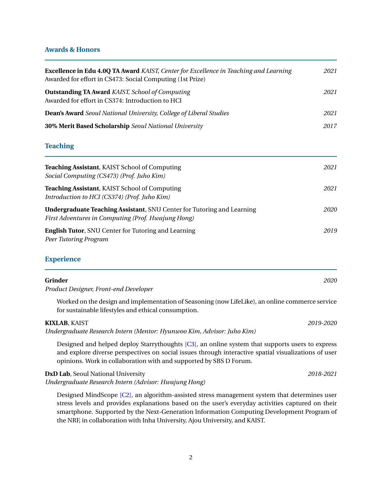## **Awards & Honors**

| <b>Excellence in Edu 4.0Q TA Award KAIST, Center for Excellence in Teaching and Learning</b><br>Awarded for effort in CS473: Social Computing (1st Prize)<br><b>Outstanding TA Award KAIST, School of Computing</b><br>Awarded for effort in CS374: Introduction to HCI | 2021<br>2021 |
|-------------------------------------------------------------------------------------------------------------------------------------------------------------------------------------------------------------------------------------------------------------------------|--------------|
|                                                                                                                                                                                                                                                                         |              |
| 30% Merit Based Scholarship Seoul National University                                                                                                                                                                                                                   | 2017         |
| <b>Teaching</b>                                                                                                                                                                                                                                                         |              |
| Teaching Assistant, KAIST School of Computing<br>Social Computing (CS473) (Prof. Juho Kim)                                                                                                                                                                              | 2021         |
| <b>Teaching Assistant, KAIST School of Computing</b><br>Introduction to HCI (CS374) (Prof. Juho Kim)                                                                                                                                                                    | 2021         |
| <b>Undergraduate Teaching Assistant, SNU Center for Tutoring and Learning</b><br>First Adventures in Computing (Prof. Hwajung Hong)                                                                                                                                     | 2020         |
| <b>English Tutor, SNU Center for Tutoring and Learning</b><br>Peer Tutoring Program                                                                                                                                                                                     | 2019         |
| $E = \frac{1}{2}$                                                                                                                                                                                                                                                       |              |

#### **Experience**

#### **Grinder** *2020*

*Product Designer, Front-end Developer*

Worked on the design and implementation of Seasoning (now LifeLike), an online commerce service for sustainable lifestyles and ethical consumption.

## **KIXLAB**, KAIST *2019-2020*

*Undergraduate Research Intern (Mentor: Hyunwoo Kim, Advisor: Juho Kim)*

Designed and helped deploy Starrythoughts [\[C3\],](#page-0-0) an online system that supports users to express and explore diverse perspectives on social issues through interactive spatial visualizations of user opinions. Work in collaboration with and supported by SBS D Forum.

**DxD Lab**, Seoul National University *2018-2021*

*Undergraduate Research Intern (Advisor: Hwajung Hong)*

Designed MindScope [\[C2\],](#page-0-0) an algorithm-assisted stress management system that determines user stress levels and provides explanations based on the user's everyday activities captured on their smartphone. Supported by the Next-Generation Information Computing Development Program of the NRF, in collaboration with Inha University, Ajou University, and KAIST.